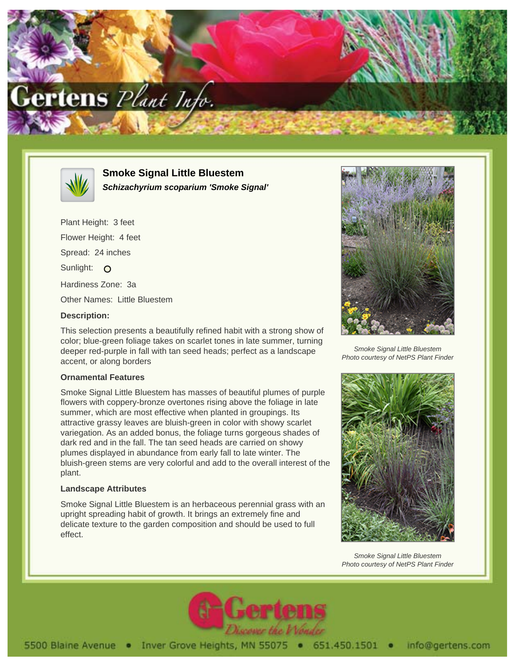



**Smoke Signal Little Bluestem Schizachyrium scoparium 'Smoke Signal'**

Plant Height: 3 feet Flower Height: 4 feet Spread: 24 inches Sunlight: O Hardiness Zone: 3a Other Names: Little Bluestem **Description:**

This selection presents a beautifully refined habit with a strong show of color; blue-green foliage takes on scarlet tones in late summer, turning deeper red-purple in fall with tan seed heads; perfect as a landscape accent, or along borders

## **Ornamental Features**

Smoke Signal Little Bluestem has masses of beautiful plumes of purple flowers with coppery-bronze overtones rising above the foliage in late summer, which are most effective when planted in groupings. Its attractive grassy leaves are bluish-green in color with showy scarlet variegation. As an added bonus, the foliage turns gorgeous shades of dark red and in the fall. The tan seed heads are carried on showy plumes displayed in abundance from early fall to late winter. The bluish-green stems are very colorful and add to the overall interest of the plant.

## **Landscape Attributes**

Smoke Signal Little Bluestem is an herbaceous perennial grass with an upright spreading habit of growth. It brings an extremely fine and delicate texture to the garden composition and should be used to full effect.



Smoke Signal Little Bluestem Photo courtesy of NetPS Plant Finder



Smoke Signal Little Bluestem Photo courtesy of NetPS Plant Finder